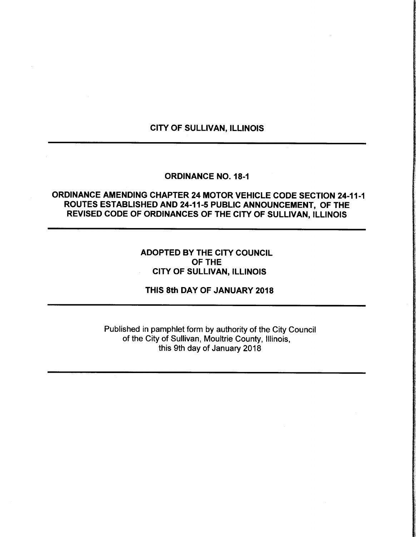### CITY OF SULLIVAN, ILLINOIS

### **ORDINANCE NO. 18-1**

# ORDINANCE AMENDING CHAPTER 24 MOTOR VEHICLE CODE SECTION 24-11-1 ROUTES ESTABLISHED AND 24-11-5 PUBLIC ANNOUNCEMENT, OF THE REVISED CODE OF ORDINANCES OF THE CITY OF SULLIVAN, ILLINOIS

## ADOPTED BY THE CITY COUNCIL OF THE CITY OF SULLIVAN, ILLINOIS

## THIS 8th DAY OF JANUARY 2018

Published in pamphlet form by authority of the City Council of the City of Sullivan, Moultrie County, Illinois, this 9th day of January 2018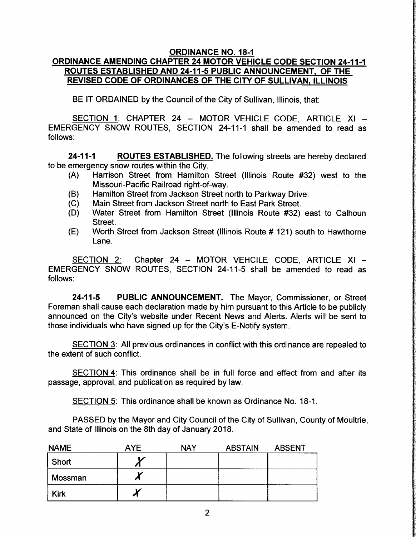#### **ORDINANCE NO. 18-1**

# ORDINANCE AMENDING CHAPTER 24 MOTOR VEHICLE CODE SECTION 24-11-1 ROUTES ESTABLISHED AND 24-11-5 PUBLIC ANNOUNCEMENT, OF THE REVISED CODE OF ORDINANCES OF THE CITY OF SULLIVAN, ILLINOIS

BE IT ORDAINED by the Council of the City of Sullivan, Illinois, that:

SECTION 1: CHAPTER 24 — MOTOR VEHICLE CODE, ARTICLE XI — EMERGENCY SNOW ROUTES, SECTION 24-11-1 shall be amended to read as follows:

24-11-1 ROUTES ESTABLISHED. The following streets are hereby declared to be emergency snow routes within the City.<br>(A) Harrison Street from Hamilton

- Harrison Street from Hamilton Street (Illinois Route #32) west to the Missouri-Pacific Railroad right-of-way.
- (B) Hamilton Street from Jackson Street north to Parkway Drive.<br>(C) Main Street from Jackson Street north to East Park Street.
- Main Street from Jackson Street north to East Park Street.
- (D) Water Street from Hamilton Street (Illinois Route #32) east to Calhoun Street.
- E) Worth Street from Jackson Street (Illinois Route # 121) south to Hawthorne Lane.

SECTION 2: Chapter 24 - MOTOR VEHCILE CODE, ARTICLE XI -EMERGENCY SNOW ROUTES, SECTION 24-11-5 shall be amended to read as follows:

24-11-5 PUBLIC ANNOUNCEMENT. The Mayor, Commissioner, or Street Foreman shall cause each declaration made by him pursuant to this Article to be publicly announced on the City's website under Recent News and Alerts. Alerts will be sent to those individuals who have signed up for the City's E- Notify system.

SECTION 3: All previous ordinances in conflict with this ordinance are repealed to the extent of such conflict.

SECTION 4: This ordinance shall be in full force and effect from and after its passage, approval, and publication as required by law.

SECTION 5: This ordinance shall be known as Ordinance No. 18-1.

PASSED by the Mayor and City Council of the City of Sullivan, County of Moultrie, and State of Illinois on the 8th day of January 2018.

| <b>NAME</b> | <b>AYE</b> | <b>NAY</b> | <b>ABSTAIN</b> | <b>ABSENT</b> |
|-------------|------------|------------|----------------|---------------|
| Short       |            |            |                |               |
| Mossman     |            |            |                |               |
| <b>Kirk</b> |            |            |                |               |